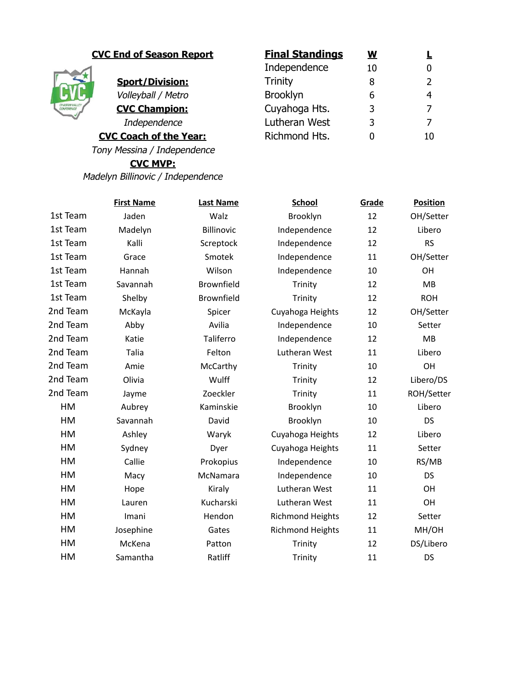

## **CVC End of Season Report Final Standings**

**Sport/Division:** Volleyball / Metro

**CVC Champion: Independence** 

**CVC Coach of the Year:** 

Tony Messina / Independence

**CVC MVP:** Madelyn Billinovic / Independence

| <u>Final Standings</u> | W  |               |
|------------------------|----|---------------|
| Independence           | 10 |               |
| <b>Trinity</b>         | 8  | $\mathcal{L}$ |
| <b>Brooklyn</b>        | 6  |               |
| Cuyahoga Hts.          | 3  | 7             |
| Lutheran West          | 3  |               |
| Richmond Hts.          |    |               |

|          | <b>First Name</b> | <b>Last Name</b>  | <b>School</b>           | Grade | <b>Position</b> |
|----------|-------------------|-------------------|-------------------------|-------|-----------------|
| 1st Team | Jaden             | Walz              | Brooklyn                | 12    | OH/Setter       |
| 1st Team | Madelyn           | <b>Billinovic</b> | Independence            | 12    | Libero          |
| 1st Team | Kalli             | Screptock         | Independence            | 12    | <b>RS</b>       |
| 1st Team | Grace             | Smotek            | Independence            | 11    | OH/Setter       |
| 1st Team | Hannah            | Wilson            | Independence            | 10    | OH              |
| 1st Team | Savannah          | Brownfield        | Trinity                 | 12    | MB              |
| 1st Team | Shelby            | Brownfield        | Trinity                 | 12    | <b>ROH</b>      |
| 2nd Team | McKayla           | Spicer            | Cuyahoga Heights        | 12    | OH/Setter       |
| 2nd Team | Abby              | Avilia            | Independence            | 10    | Setter          |
| 2nd Team | Katie             | Taliferro         | Independence            | 12    | <b>MB</b>       |
| 2nd Team | Talia             | Felton            | Lutheran West           | 11    | Libero          |
| 2nd Team | Amie              | McCarthy          | Trinity                 | 10    | OH              |
| 2nd Team | Olivia            | Wulff             | Trinity                 | 12    | Libero/DS       |
| 2nd Team | Jayme             | Zoeckler          | Trinity                 | 11    | ROH/Setter      |
| HM       | Aubrey            | Kaminskie         | Brooklyn                | 10    | Libero          |
| HM       | Savannah          | David             | Brooklyn                | 10    | <b>DS</b>       |
| HM       | Ashley            | Waryk             | Cuyahoga Heights        | 12    | Libero          |
| HM       | Sydney            | Dyer              | Cuyahoga Heights        | 11    | Setter          |
| HM       | Callie            | Prokopius         | Independence            | 10    | RS/MB           |
| HM       | Macy              | McNamara          | Independence            | 10    | <b>DS</b>       |
| HM       | Hope              | Kiraly            | Lutheran West           | 11    | OH              |
| HM       | Lauren            | Kucharski         | Lutheran West           | 11    | OH              |
| HM       | Imani             | Hendon            | <b>Richmond Heights</b> | 12    | Setter          |
| HM       | Josephine         | Gates             | <b>Richmond Heights</b> | 11    | MH/OH           |
| HM       | McKena            | Patton            | Trinity                 | 12    | DS/Libero       |
| HM       | Samantha          | Ratliff           | Trinity                 | 11    | <b>DS</b>       |